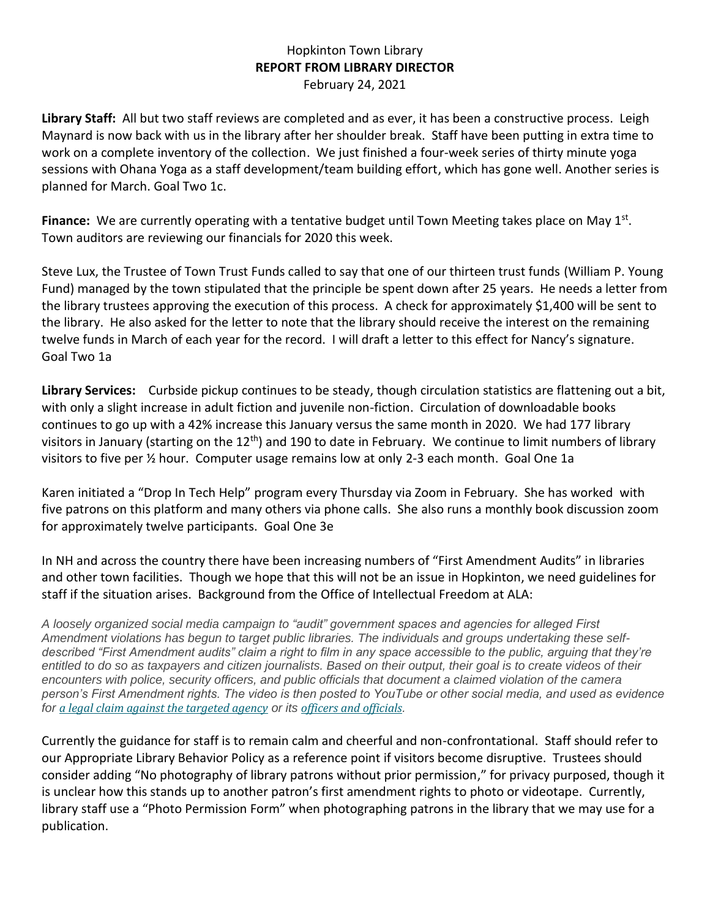## Hopkinton Town Library **REPORT FROM LIBRARY DIRECTOR** February 24, 2021

**Library Staff:** All but two staff reviews are completed and as ever, it has been a constructive process. Leigh Maynard is now back with us in the library after her shoulder break. Staff have been putting in extra time to work on a complete inventory of the collection. We just finished a four-week series of thirty minute yoga sessions with Ohana Yoga as a staff development/team building effort, which has gone well. Another series is planned for March. Goal Two 1c.

Finance: We are currently operating with a tentative budget until Town Meeting takes place on May 1<sup>st</sup>. Town auditors are reviewing our financials for 2020 this week.

Steve Lux, the Trustee of Town Trust Funds called to say that one of our thirteen trust funds (William P. Young Fund) managed by the town stipulated that the principle be spent down after 25 years. He needs a letter from the library trustees approving the execution of this process. A check for approximately \$1,400 will be sent to the library. He also asked for the letter to note that the library should receive the interest on the remaining twelve funds in March of each year for the record. I will draft a letter to this effect for Nancy's signature. Goal Two 1a

**Library Services:** Curbside pickup continues to be steady, though circulation statistics are flattening out a bit, with only a slight increase in adult fiction and juvenile non-fiction. Circulation of downloadable books continues to go up with a 42% increase this January versus the same month in 2020. We had 177 library visitors in January (starting on the 12<sup>th</sup>) and 190 to date in February. We continue to limit numbers of library visitors to five per ½ hour. Computer usage remains low at only 2-3 each month. Goal One 1a

Karen initiated a "Drop In Tech Help" program every Thursday via Zoom in February. She has worked with five patrons on this platform and many others via phone calls. She also runs a monthly book discussion zoom for approximately twelve participants. Goal One 3e

In NH and across the country there have been increasing numbers of "First Amendment Audits" in libraries and other town facilities. Though we hope that this will not be an issue in Hopkinton, we need guidelines for staff if the situation arises. Background from the Office of Intellectual Freedom at ALA:

*A loosely organized social media campaign to "audit" government spaces and agencies for alleged First Amendment violations has begun to target public libraries. The individuals and groups undertaking these selfdescribed "First Amendment audits" claim a right to film in any space accessible to the public, arguing that they're entitled to do so as taxpayers and citizen journalists. Based on their output, their goal is to create videos of their*  encounters with police, security officers, and public officials that document a claimed violation of the camera *person's First Amendment rights. The video is then posted to YouTube or other social media, and used as evidence for [a legal claim against the targeted agency](https://firstamendmentwatch.org/first-amendment-auditors-sue-boulder-police-department-for-violating-their-first-amendment-rights/) or its [officers and officials](https://www.kktv.com/content/news/Colorado-Springs-to-pay-cameraman-41000-after-First-Amendment-audit-of-police-484291511.html).*

Currently the guidance for staff is to remain calm and cheerful and non-confrontational. Staff should refer to our Appropriate Library Behavior Policy as a reference point if visitors become disruptive. Trustees should consider adding "No photography of library patrons without prior permission," for privacy purposed, though it is unclear how this stands up to another patron's first amendment rights to photo or videotape. Currently, library staff use a "Photo Permission Form" when photographing patrons in the library that we may use for a publication.